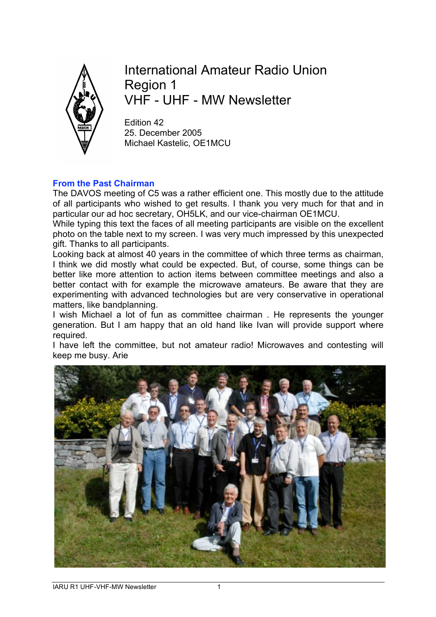

International Amateur Radio Union Region 1 VHF - UHF - MW Newsletter

Edition 42 25. December 2005 Michael Kastelic, OE1MCU

# **From the Past Chairman**

The DAVOS meeting of C5 was a rather efficient one. This mostly due to the attitude of all participants who wished to get results. I thank you very much for that and in particular our ad hoc secretary, OH5LK, and our vice-chairman OE1MCU.

While typing this text the faces of all meeting participants are visible on the excellent photo on the table next to my screen. I was very much impressed by this unexpected gift. Thanks to all participants.

Looking back at almost 40 years in the committee of which three terms as chairman, I think we did mostly what could be expected. But, of course, some things can be better like more attention to action items between committee meetings and also a better contact with for example the microwave amateurs. Be aware that they are experimenting with advanced technologies but are very conservative in operational matters, like bandplanning.

I wish Michael a lot of fun as committee chairman . He represents the younger generation. But I am happy that an old hand like Ivan will provide support where required.

I have left the committee, but not amateur radio! Microwaves and contesting will keep me busy. Arie

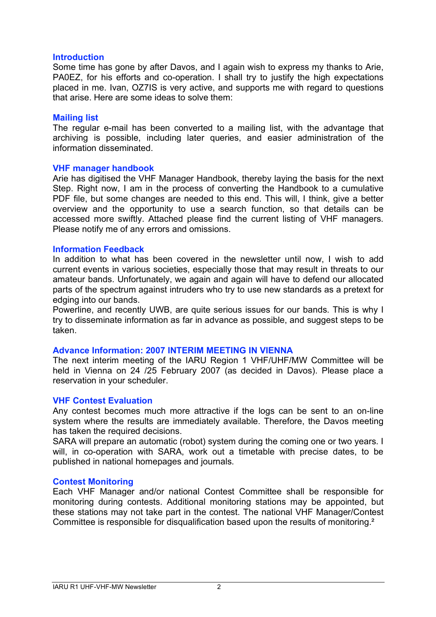### **Introduction**

Some time has gone by after Davos, and I again wish to express my thanks to Arie, PA0EZ, for his efforts and co-operation. I shall try to justify the high expectations placed in me. Ivan, OZ7IS is very active, and supports me with regard to questions that arise. Here are some ideas to solve them:

### **Mailing list**

The regular e-mail has been converted to a mailing list, with the advantage that archiving is possible, including later queries, and easier administration of the information disseminated.

### **VHF manager handbook**

Arie has digitised the VHF Manager Handbook, thereby laying the basis for the next Step. Right now, I am in the process of converting the Handbook to a cumulative PDF file, but some changes are needed to this end. This will, I think, give a better overview and the opportunity to use a search function, so that details can be accessed more swiftly. Attached please find the current listing of VHF managers. Please notify me of any errors and omissions.

### **Information Feedback**

In addition to what has been covered in the newsletter until now, I wish to add current events in various societies, especially those that may result in threats to our amateur bands. Unfortunately, we again and again will have to defend our allocated parts of the spectrum against intruders who try to use new standards as a pretext for edging into our bands.

Powerline, and recently UWB, are quite serious issues for our bands. This is why I try to disseminate information as far in advance as possible, and suggest steps to be taken.

# **Advance Information: 2007 INTERIM MEETING IN VIENNA**

The next interim meeting of the IARU Region 1 VHF/UHF/MW Committee will be held in Vienna on 24 /25 February 2007 (as decided in Davos). Please place a reservation in your scheduler.

# **VHF Contest Evaluation**

Any contest becomes much more attractive if the logs can be sent to an on-line system where the results are immediately available. Therefore, the Davos meeting has taken the required decisions.

SARA will prepare an automatic (robot) system during the coming one or two years. I will, in co-operation with SARA, work out a timetable with precise dates, to be published in national homepages and journals.

### **Contest Monitoring**

Each VHF Manager and/or national Contest Committee shall be responsible for monitoring during contests. Additional monitoring stations may be appointed, but these stations may not take part in the contest. The national VHF Manager/Contest Committee is responsible for disqualification based upon the results of monitoring.²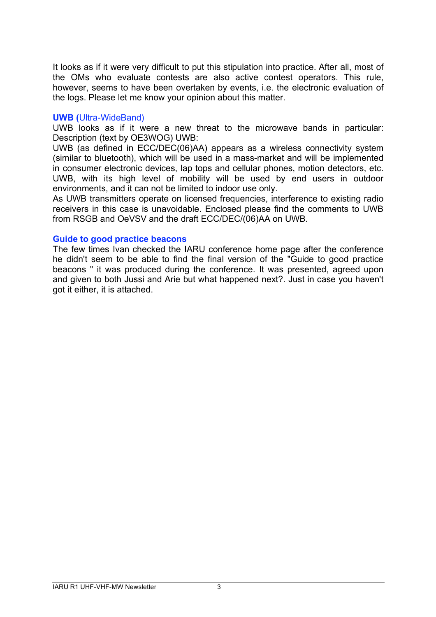It looks as if it were very difficult to put this stipulation into practice. After all, most of the OMs who evaluate contests are also active contest operators. This rule, however, seems to have been overtaken by events, i.e. the electronic evaluation of the logs. Please let me know your opinion about this matter.

### **UWB (**Ultra-WideBand)

UWB looks as if it were a new threat to the microwave bands in particular: Description (text by OE3WOG) UWB:

UWB (as defined in ECC/DEC(06)AA) appears as a wireless connectivity system (similar to bluetooth), which will be used in a mass-market and will be implemented in consumer electronic devices, lap tops and cellular phones, motion detectors, etc. UWB, with its high level of mobility will be used by end users in outdoor environments, and it can not be limited to indoor use only.

As UWB transmitters operate on licensed frequencies, interference to existing radio receivers in this case is unavoidable. Enclosed please find the comments to UWB from RSGB and OeVSV and the draft ECC/DEC/(06)AA on UWB.

# **Guide to good practice beacons**

The few times Ivan checked the IARU conference home page after the conference he didn't seem to be able to find the final version of the "Guide to good practice beacons " it was produced during the conference. It was presented, agreed upon and given to both Jussi and Arie but what happened next?. Just in case you haven't got it either, it is attached.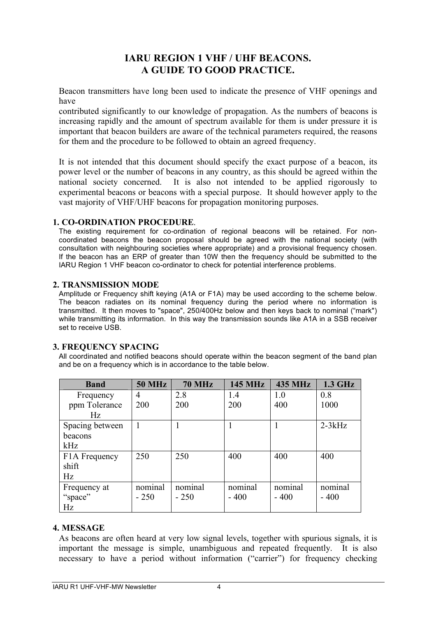# **IARU REGION 1 VHF / UHF BEACONS. A GUIDE TO GOOD PRACTICE.**

Beacon transmitters have long been used to indicate the presence of VHF openings and have

contributed significantly to our knowledge of propagation. As the numbers of beacons is increasing rapidly and the amount of spectrum available for them is under pressure it is important that beacon builders are aware of the technical parameters required, the reasons for them and the procedure to be followed to obtain an agreed frequency.

It is not intended that this document should specify the exact purpose of a beacon, its power level or the number of beacons in any country, as this should be agreed within the national society concerned. It is also not intended to be applied rigorously to experimental beacons or beacons with a special purpose. It should however apply to the vast majority of VHF/UHF beacons for propagation monitoring purposes.

### **1. CO-ORDINATION PROCEDURE**.

The existing requirement for co-ordination of regional beacons will be retained. For noncoordinated beacons the beacon proposal should be agreed with the national society (with consultation with neighbouring societies where appropriate) and a provisional frequency chosen. If the beacon has an ERP of greater than 10W then the frequency should be submitted to the IARU Region 1 VHF beacon co-ordinator to check for potential interference problems.

### **2. TRANSMISSION MODE**

Amplitude or Frequency shift keying (A1A or F1A) may be used according to the scheme below. The beacon radiates on its nominal frequency during the period where no information is transmitted. It then moves to "space", 250/400Hz below and then keys back to nominal ("mark") while transmitting its information. In this way the transmission sounds like A1A in a SSB receiver set to receive USB.

# **3. FREQUENCY SPACING**

All coordinated and notified beacons should operate within the beacon segment of the band plan and be on a frequency which is in accordance to the table below.

| <b>Band</b>                | <b>50 MHz</b> | <b>70 MHz</b> | <b>145 MHz</b> | <b>435 MHz</b> | 1.3 GHz  |
|----------------------------|---------------|---------------|----------------|----------------|----------|
| Frequency                  | 4             | 2.8           | 1.4            | 1.0            | 0.8      |
| ppm Tolerance              | 200           | 200           | 200            | 400            | 1000     |
| Hz                         |               |               |                |                |          |
| Spacing between            |               |               |                |                | $2-3kHz$ |
| beacons                    |               |               |                |                |          |
| kHz                        |               |               |                |                |          |
| F <sub>1</sub> A Frequency | 250           | 250           | 400            | 400            | 400      |
| shift                      |               |               |                |                |          |
| Hz                         |               |               |                |                |          |
| Frequency at               | nominal       | nominal       | nominal        | nominal        | nominal  |
| "space"                    | $-250$        | $-250$        | $-400$         | $-400$         | $-400$   |
| Hz                         |               |               |                |                |          |

# **4. MESSAGE**

As beacons are often heard at very low signal levels, together with spurious signals, it is important the message is simple, unambiguous and repeated frequently. It is also necessary to have a period without information ("carrier") for frequency checking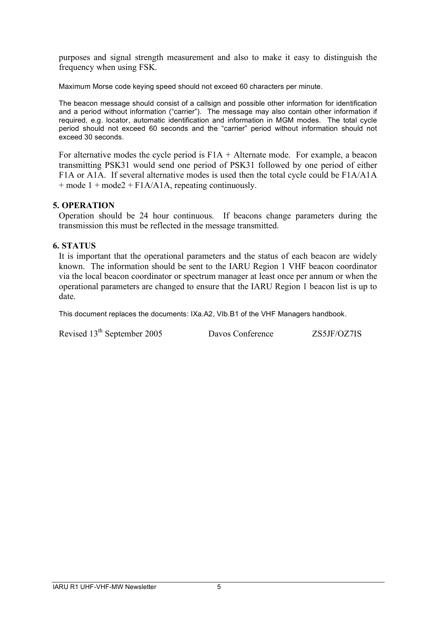purposes and signal strength measurement and also to make it easy to distinguish the frequency when using FSK.

Maximum Morse code keying speed should not exceed 60 characters per minute.

The beacon message should consist of a callsign and possible other information for identification and a period without information ("carrier"). The message may also contain other information if required, e.g. locator, automatic identification and information in MGM modes. The total cycle period should not exceed 60 seconds and the "carrier" period without information should not exceed 30 seconds.

For alternative modes the cycle period is F1A + Alternate mode. For example, a beacon transmitting PSK31 would send one period of PSK31 followed by one period of either F1A or A1A. If several alternative modes is used then the total cycle could be F1A/A1A  $+$  mode  $1 +$  mode  $2 +$  F1A/A1A, repeating continuously.

# **5. OPERATION**

Operation should be 24 hour continuous. If beacons change parameters during the transmission this must be reflected in the message transmitted.

# **6. STATUS**

It is important that the operational parameters and the status of each beacon are widely known. The information should be sent to the IARU Region 1 VHF beacon coordinator via the local beacon coordinator or spectrum manager at least once per annum or when the operational parameters are changed to ensure that the IARU Region 1 beacon list is up to date.

This document replaces the documents: IXa.A2, VIb.B1 of the VHF Managers handbook.

Revised 13<sup>th</sup> September 2005 Davos Conference ZS5JF/OZ7IS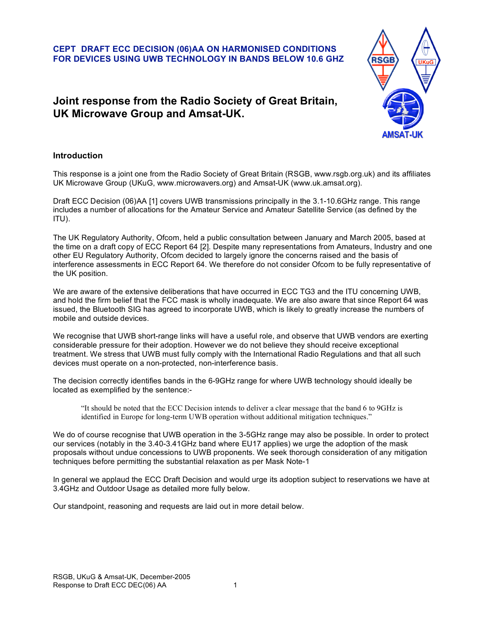**CEPT DRAFT ECC DECISION (06)AA ON HARMONISED CONDITIONS FOR DEVICES USING UWB TECHNOLOGY IN BANDS BELOW 10.6 GHZ**

# **Joint response from the Radio Society of Great Britain, UK Microwave Group and Amsat-UK.**



#### **Introduction**

This response is a joint one from the Radio Society of Great Britain (RSGB, www.rsgb.org.uk) and its affiliates UK Microwave Group (UKuG, www.microwavers.org) and Amsat-UK (www.uk.amsat.org).

Draft ECC Decision (06)AA [1] covers UWB transmissions principally in the 3.1-10.6GHz range. This range includes a number of allocations for the Amateur Service and Amateur Satellite Service (as defined by the ITU).

The UK Regulatory Authority, Ofcom, held a public consultation between January and March 2005, based at the time on a draft copy of ECC Report 64 [2]. Despite many representations from Amateurs, Industry and one other EU Regulatory Authority, Ofcom decided to largely ignore the concerns raised and the basis of interference assessments in ECC Report 64. We therefore do not consider Ofcom to be fully representative of the UK position.

We are aware of the extensive deliberations that have occurred in ECC TG3 and the ITU concerning UWB, and hold the firm belief that the FCC mask is wholly inadequate. We are also aware that since Report 64 was issued, the Bluetooth SIG has agreed to incorporate UWB, which is likely to greatly increase the numbers of mobile and outside devices.

We recognise that UWB short-range links will have a useful role, and observe that UWB vendors are exerting considerable pressure for their adoption. However we do not believe they should receive exceptional treatment. We stress that UWB must fully comply with the International Radio Regulations and that all such devices must operate on a non-protected, non-interference basis.

The decision correctly identifies bands in the 6-9GHz range for where UWB technology should ideally be located as exemplified by the sentence:-

"It should be noted that the ECC Decision intends to deliver a clear message that the band 6 to 9GHz is identified in Europe for long-term UWB operation without additional mitigation techniques."

We do of course recognise that UWB operation in the 3-5GHz range may also be possible. In order to protect our services (notably in the 3.40-3.41GHz band where EU17 applies) we urge the adoption of the mask proposals without undue concessions to UWB proponents. We seek thorough consideration of any mitigation techniques before permitting the substantial relaxation as per Mask Note-1

In general we applaud the ECC Draft Decision and would urge its adoption subject to reservations we have at 3.4GHz and Outdoor Usage as detailed more fully below.

Our standpoint, reasoning and requests are laid out in more detail below.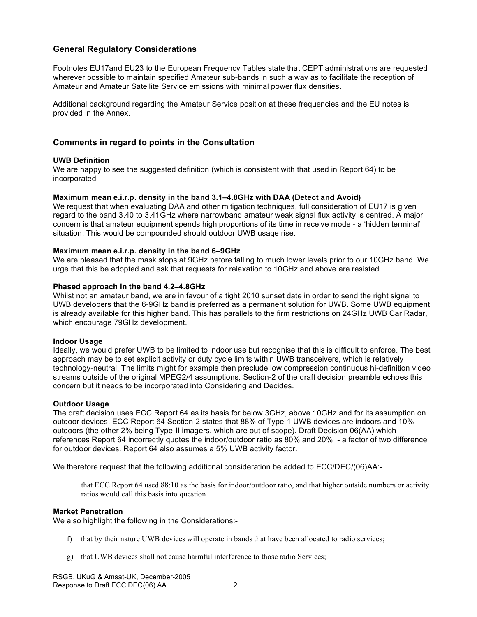### **General Regulatory Considerations**

Footnotes EU17and EU23 to the European Frequency Tables state that CEPT administrations are requested wherever possible to maintain specified Amateur sub-bands in such a way as to facilitate the reception of Amateur and Amateur Satellite Service emissions with minimal power flux densities.

Additional background regarding the Amateur Service position at these frequencies and the EU notes is provided in the Annex.

#### **Comments in regard to points in the Consultation**

#### **UWB Definition**

We are happy to see the suggested definition (which is consistent with that used in Report 64) to be incorporated

#### **Maximum mean e.i.r.p. density in the band 3.1–4.8GHz with DAA (Detect and Avoid)**

We request that when evaluating DAA and other mitigation techniques, full consideration of EU17 is given regard to the band 3.40 to 3.41GHz where narrowband amateur weak signal flux activity is centred. A major concern is that amateur equipment spends high proportions of its time in receive mode - a 'hidden terminal' situation. This would be compounded should outdoor UWB usage rise.

#### **Maximum mean e.i.r.p. density in the band 6–9GHz**

We are pleased that the mask stops at 9GHz before falling to much lower levels prior to our 10GHz band. We urge that this be adopted and ask that requests for relaxation to 10GHz and above are resisted.

#### **Phased approach in the band 4.2–4.8GHz**

Whilst not an amateur band, we are in favour of a tight 2010 sunset date in order to send the right signal to UWB developers that the 6-9GHz band is preferred as a permanent solution for UWB. Some UWB equipment is already available for this higher band. This has parallels to the firm restrictions on 24GHz UWB Car Radar, which encourage 79GHz development.

#### **Indoor Usage**

Ideally, we would prefer UWB to be limited to indoor use but recognise that this is difficult to enforce. The best approach may be to set explicit activity or duty cycle limits within UWB transceivers, which is relatively technology-neutral. The limits might for example then preclude low compression continuous hi-definition video streams outside of the original MPEG2/4 assumptions. Section-2 of the draft decision preamble echoes this concern but it needs to be incorporated into Considering and Decides.

#### **Outdoor Usage**

The draft decision uses ECC Report 64 as its basis for below 3GHz, above 10GHz and for its assumption on outdoor devices. ECC Report 64 Section-2 states that 88% of Type-1 UWB devices are indoors and 10% outdoors (the other 2% being Type-II imagers, which are out of scope). Draft Decision 06(AA) which references Report 64 incorrectly quotes the indoor/outdoor ratio as 80% and 20% - a factor of two difference for outdoor devices. Report 64 also assumes a 5% UWB activity factor.

We therefore request that the following additional consideration be added to ECC/DEC/(06)AA:-

that ECC Report 64 used 88:10 as the basis for indoor/outdoor ratio, and that higher outside numbers or activity ratios would call this basis into question

#### **Market Penetration**

We also highlight the following in the Considerations:-

- f) that by their nature UWB devices will operate in bands that have been allocated to radio services;
- g) that UWB devices shall not cause harmful interference to those radio Services;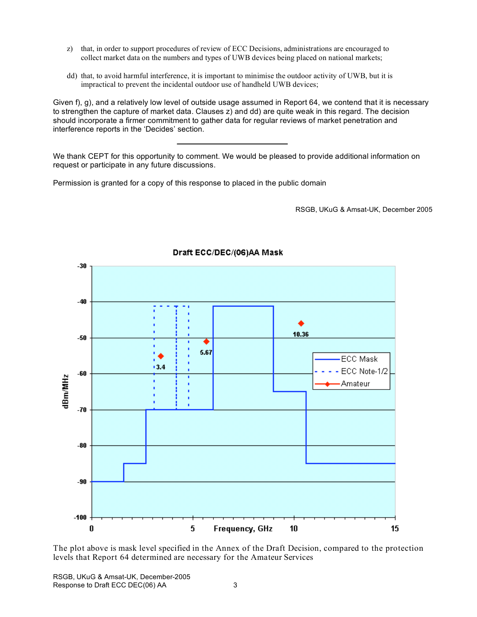- z) that, in order to support procedures of review of ECC Decisions, administrations are encouraged to collect market data on the numbers and types of UWB devices being placed on national markets;
- dd) that, to avoid harmful interference, it is important to minimise the outdoor activity of UWB, but it is impractical to prevent the incidental outdoor use of handheld UWB devices;

Given f), g), and a relatively low level of outside usage assumed in Report 64, we contend that it is necessary to strengthen the capture of market data. Clauses z) and dd) are quite weak in this regard. The decision should incorporate a firmer commitment to gather data for regular reviews of market penetration and interference reports in the 'Decides' section.

We thank CEPT for this opportunity to comment. We would be pleased to provide additional information on request or participate in any future discussions.

Permission is granted for a copy of this response to placed in the public domain

RSGB, UKuG & Amsat-UK, December 2005



#### Draft ECC/DEC/(06)AA Mask

The plot above is mask level specified in the Annex of the Draft Decision, compared to the protection levels that Report 64 determined are necessary for the Amateur Services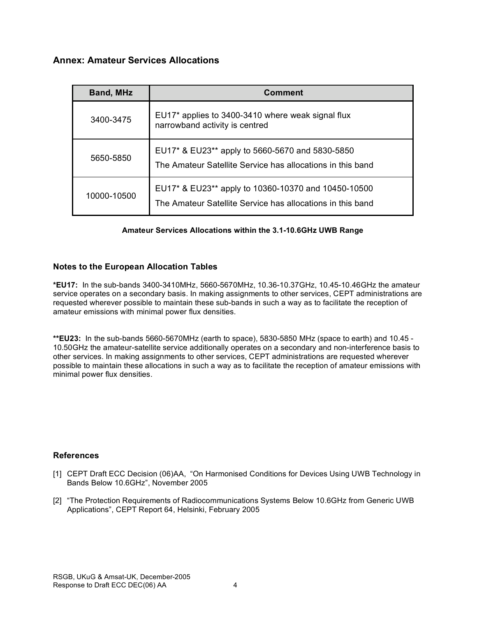# **Annex: Amateur Services Allocations**

| <b>Band, MHz</b> | <b>Comment</b>                                                                                                    |  |  |
|------------------|-------------------------------------------------------------------------------------------------------------------|--|--|
| 3400-3475        | EU17* applies to 3400-3410 where weak signal flux<br>narrowband activity is centred                               |  |  |
| 5650-5850        | EU17* & EU23** apply to 5660-5670 and 5830-5850<br>The Amateur Satellite Service has allocations in this band     |  |  |
| 10000-10500      | EU17* & EU23** apply to 10360-10370 and 10450-10500<br>The Amateur Satellite Service has allocations in this band |  |  |

### **Amateur Services Allocations within the 3.1-10.6GHz UWB Range**

### **Notes to the European Allocation Tables**

**\*EU17:** In the sub-bands 3400-3410MHz, 5660-5670MHz, 10.36-10.37GHz, 10.45-10.46GHz the amateur service operates on a secondary basis. In making assignments to other services, CEPT administrations are requested wherever possible to maintain these sub-bands in such a way as to facilitate the reception of amateur emissions with minimal power flux densities.

**\*\*EU23:** In the sub-bands 5660-5670MHz (earth to space), 5830-5850 MHz (space to earth) and 10.45 - 10.50GHz the amateur-satellite service additionally operates on a secondary and non-interference basis to other services. In making assignments to other services, CEPT administrations are requested wherever possible to maintain these allocations in such a way as to facilitate the reception of amateur emissions with minimal power flux densities.

### **References**

- [1] CEPT Draft ECC Decision (06)AA, "On Harmonised Conditions for Devices Using UWB Technology in Bands Below 10.6GHz", November 2005
- [2] "The Protection Requirements of Radiocommunications Systems Below 10.6GHz from Generic UWB Applications", CEPT Report 64, Helsinki, February 2005